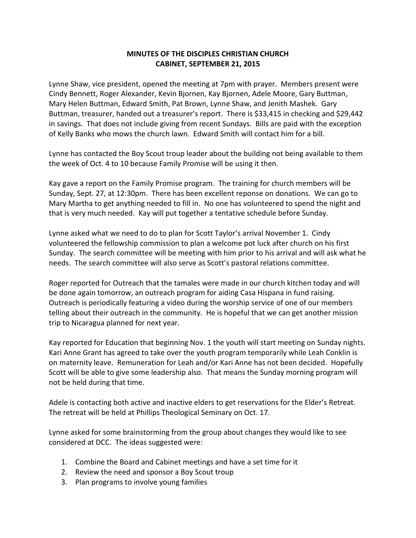## **MINUTES OF THE DISCIPLES CHRISTIAN CHURCH CABINET, SEPTEMBER 21, 2015**

Lynne Shaw, vice president, opened the meeting at 7pm with prayer. Members present were Cindy Bennett, Roger Alexander, Kevin Bjornen, Kay Bjornen, Adele Moore, Gary Buttman, Mary Helen Buttman, Edward Smith, Pat Brown, Lynne Shaw, and Jenith Mashek. Gary Buttman, treasurer, handed out a treasurer's report. There is \$33,415 in checking and \$29,442 in savings. That does not include giving from recent Sundays. Bills are paid with the exception of Kelly Banks who mows the church lawn. Edward Smith will contact him for a bill.

Lynne has contacted the Boy Scout troup leader about the building not being available to them the week of Oct. 4 to 10 because Family Promise will be using it then.

Kay gave a report on the Family Promise program. The training for church members will be Sunday, Sept. 27, at 12:30pm. There has been excellent reponse on donations. We can go to Mary Martha to get anything needed to fill in. No one has volunteered to spend the night and that is very much needed. Kay will put together a tentative schedule before Sunday.

Lynne asked what we need to do to plan for Scott Taylor's arrival November 1. Cindy volunteered the fellowship commission to plan a welcome pot luck after church on his first Sunday. The search committee will be meeting with him prior to his arrival and will ask what he needs. The search committee will also serve as Scott's pastoral relations committee.

Roger reported for Outreach that the tamales were made in our church kitchen today and will be done again tomorrow, an outreach program for aiding Casa Hispana in fund raising. Outreach is periodically featuring a video during the worship service of one of our members telling about their outreach in the community. He is hopeful that we can get another mission trip to Nicaragua planned for next year.

Kay reported for Education that beginning Nov. 1 the youth will start meeting on Sunday nights. Kari Anne Grant has agreed to take over the youth program temporarily while Leah Conklin is on maternity leave. Remuneration for Leah and/or Kari Anne has not been decided. Hopefully Scott will be able to give some leadership also. That means the Sunday morning program will not be held during that time.

Adele is contacting both active and inactive elders to get reservations for the Elder's Retreat. The retreat will be held at Phillips Theological Seminary on Oct. 17.

Lynne asked for some brainstorming from the group about changes they would like to see considered at DCC. The ideas suggested were:

- 1. Combine the Board and Cabinet meetings and have a set time for it
- 2. Review the need and sponsor a Boy Scout troup
- 3. Plan programs to involve young families